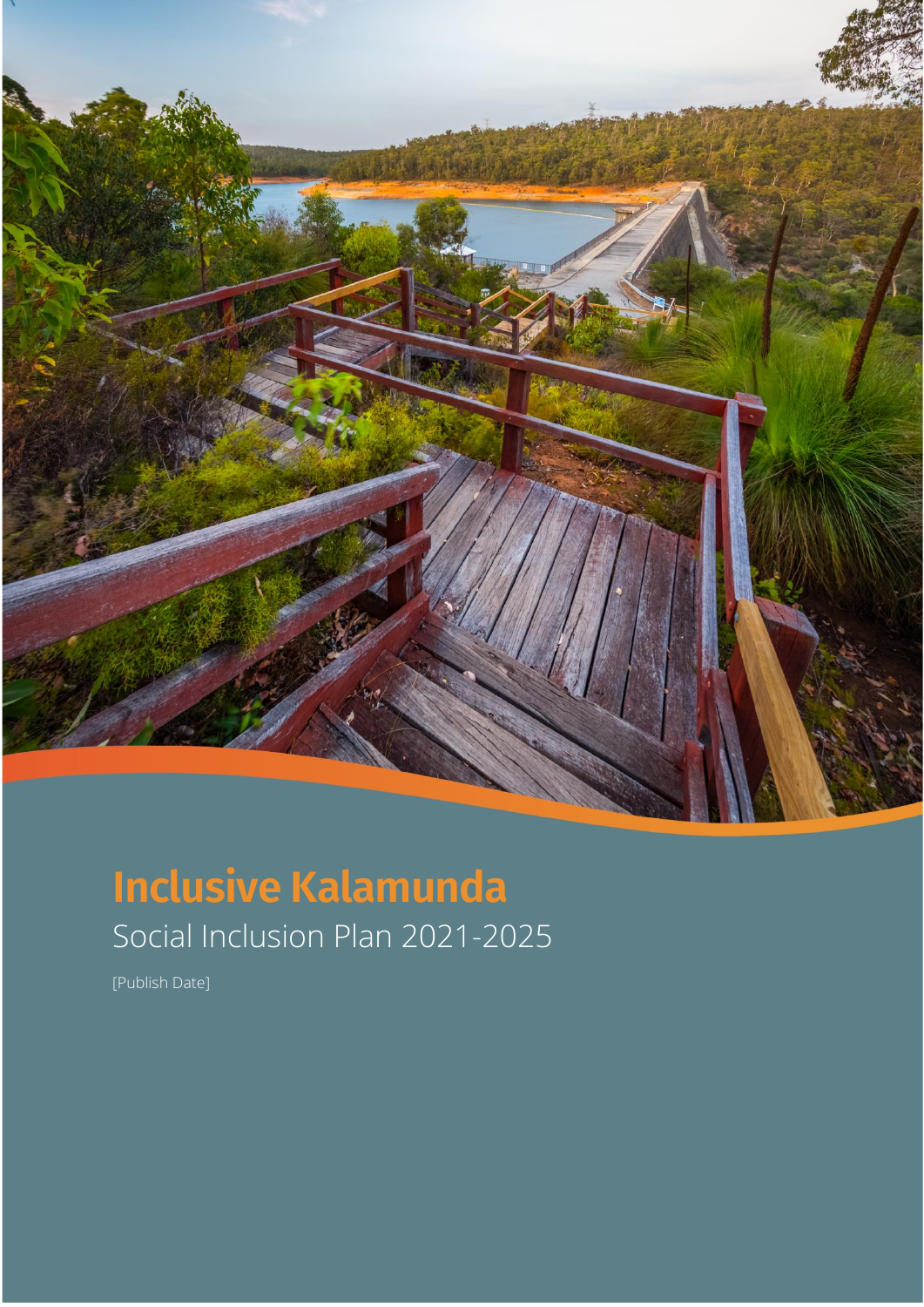

# **Inclusive Kalamunda** Social Inclusion Plan 2021-2025

[Publish Date]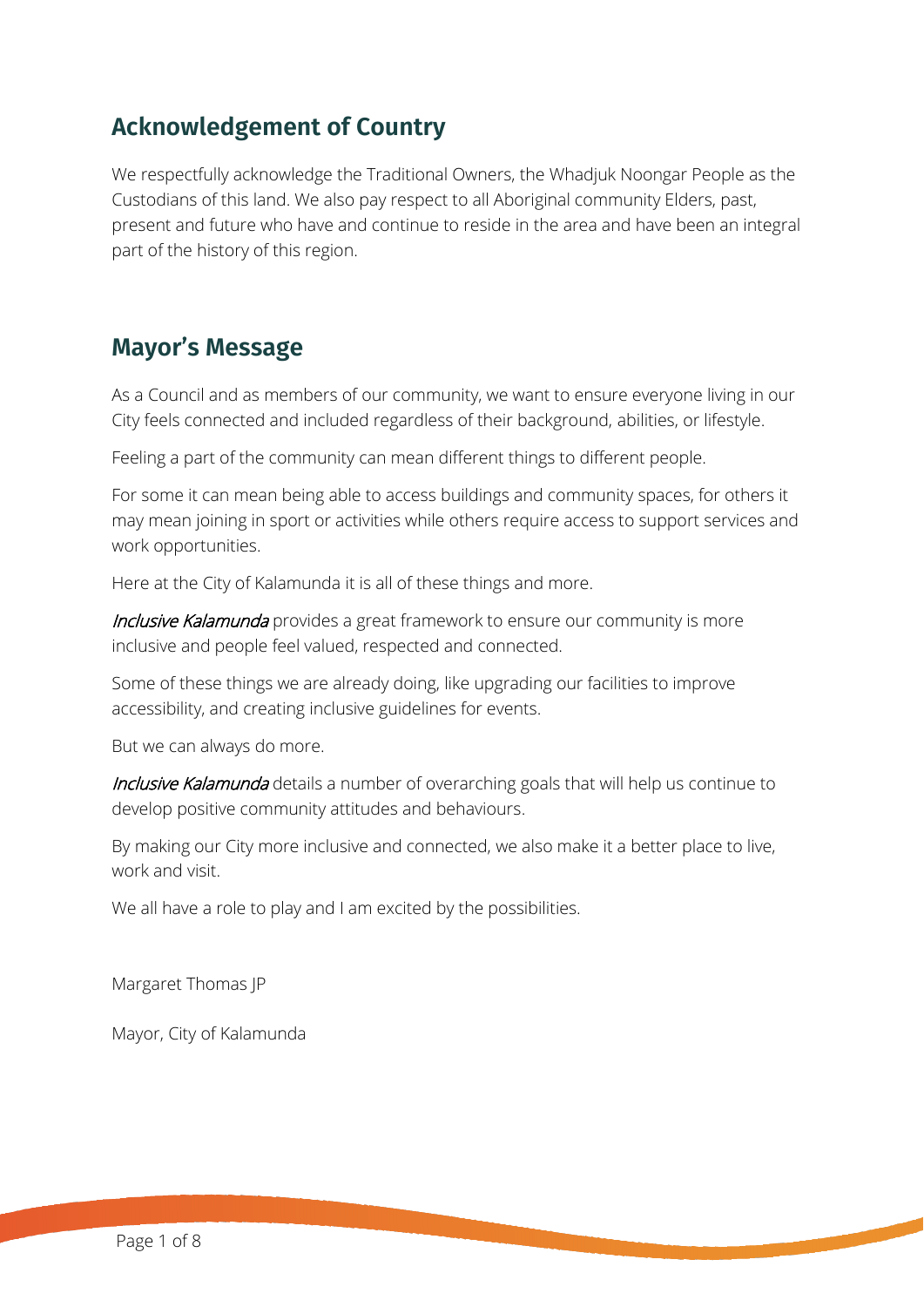#### **Acknowledgement of Country**

We respectfully acknowledge the Traditional Owners, the Whadjuk Noongar People as the Custodians of this land. We also pay respect to all Aboriginal community Elders, past, present and future who have and continue to reside in the area and have been an integral part of the history of this region.

#### **Mayor's Message**

As a Council and as members of our community, we want to ensure everyone living in our City feels connected and included regardless of their background, abilities, or lifestyle.

Feeling a part of the community can mean different things to different people.

For some it can mean being able to access buildings and community spaces, for others it may mean joining in sport or activities while others require access to support services and work opportunities.

Here at the City of Kalamunda it is all of these things and more.

**Inclusive Kalamunda** provides a great framework to ensure our community is more inclusive and people feel valued, respected and connected.

Some of these things we are already doing, like upgrading our facilities to improve accessibility, and creating inclusive guidelines for events.

But we can always do more.

Inclusive Kalamunda details a number of overarching goals that will help us continue to develop positive community attitudes and behaviours.

By making our City more inclusive and connected, we also make it a better place to live, work and visit.

We all have a role to play and I am excited by the possibilities.

Margaret Thomas JP

Mayor, City of Kalamunda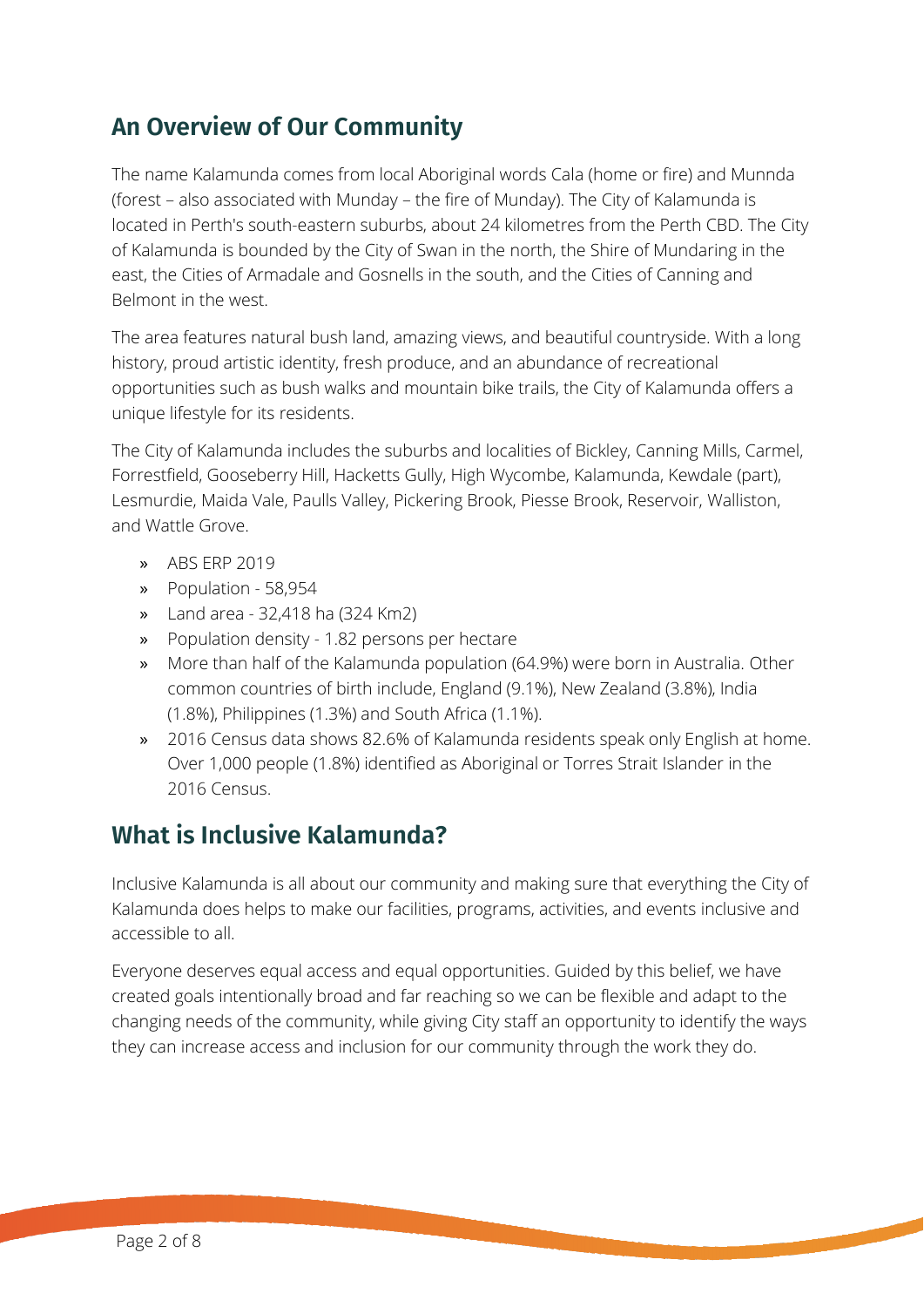### **An Overview of Our Community**

The name Kalamunda comes from local Aboriginal words Cala (home or fire) and Munnda (forest – also associated with Munday – the fire of Munday). The City of Kalamunda is located in Perth's south-eastern suburbs, about 24 kilometres from the Perth CBD. The City of Kalamunda is bounded by the City of Swan in the north, the Shire of Mundaring in the east, the Cities of Armadale and Gosnells in the south, and the Cities of Canning and Belmont in the west.

The area features natural bush land, amazing views, and beautiful countryside. With a long history, proud artistic identity, fresh produce, and an abundance of recreational opportunities such as bush walks and mountain bike trails, the City of Kalamunda offers a unique lifestyle for its residents.

The City of Kalamunda includes the suburbs and localities of Bickley, Canning Mills, Carmel, Forrestfield, Gooseberry Hill, Hacketts Gully, High Wycombe, Kalamunda, Kewdale (part), Lesmurdie, Maida Vale, Paulls Valley, Pickering Brook, Piesse Brook, Reservoir, Walliston, and Wattle Grove.

- » ABS ERP 2019
- » Population 58,954
- » Land area 32,418 ha (324 Km2)
- » Population density 1.82 persons per hectare
- » More than half of the Kalamunda population (64.9%) were born in Australia. Other common countries of birth include, England (9.1%), New Zealand (3.8%), India (1.8%), Philippines (1.3%) and South Africa (1.1%).
- » 2016 Census data shows 82.6% of Kalamunda residents speak only English at home. Over 1,000 people (1.8%) identified as Aboriginal or Torres Strait Islander in the 2016 Census.

#### **What is Inclusive Kalamunda?**

Inclusive Kalamunda is all about our community and making sure that everything the City of Kalamunda does helps to make our facilities, programs, activities, and events inclusive and accessible to all.

Everyone deserves equal access and equal opportunities. Guided by this belief, we have created goals intentionally broad and far reaching so we can be flexible and adapt to the changing needs of the community, while giving City staff an opportunity to identify the ways they can increase access and inclusion for our community through the work they do.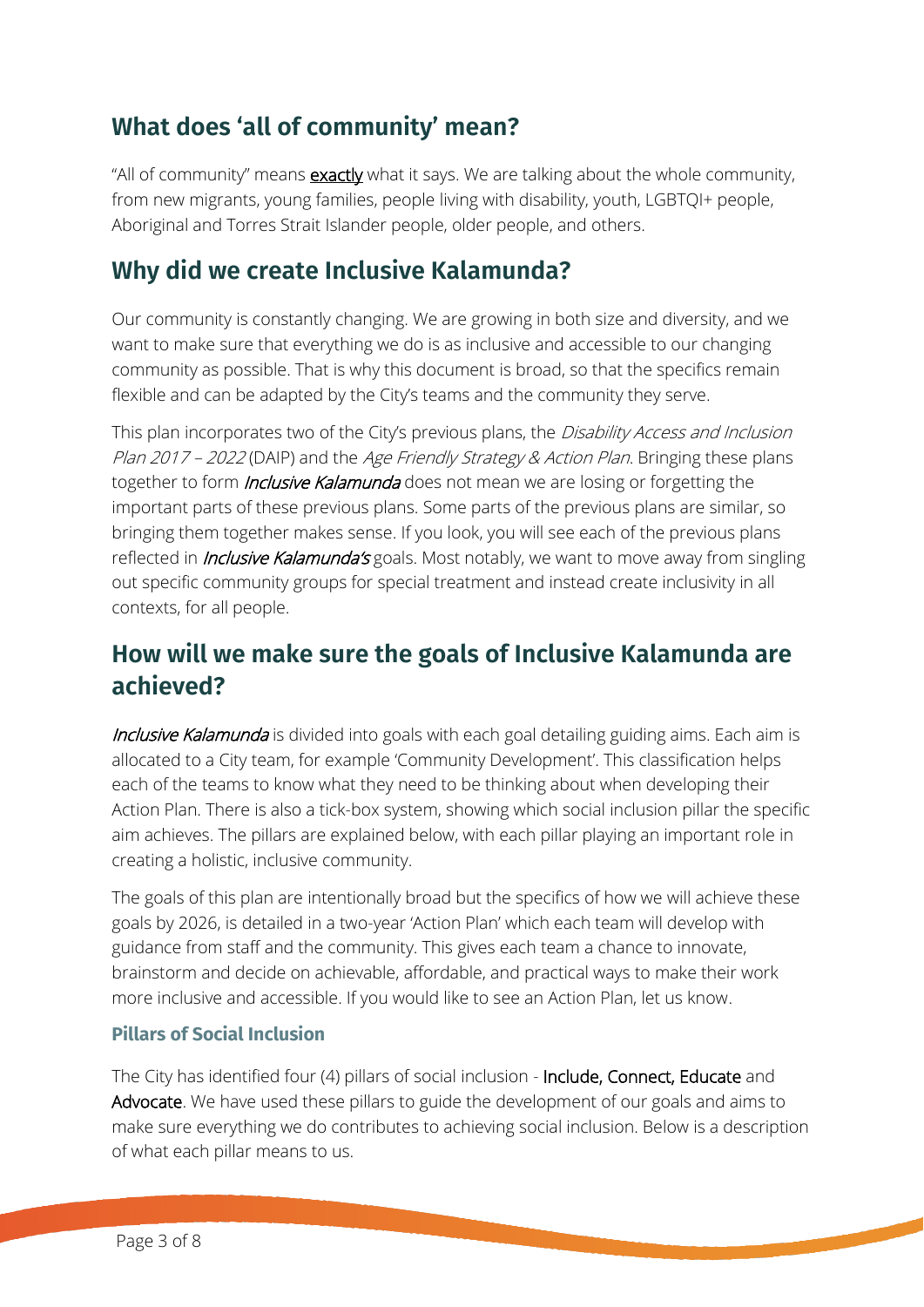### **What does 'all of community' mean?**

"All of community" means **exactly** what it says. We are talking about the whole community, from new migrants, young families, people living with disability, youth, LGBTQI+ people, Aboriginal and Torres Strait Islander people, older people, and others.

#### **Why did we create Inclusive Kalamunda?**

Our community is constantly changing. We are growing in both size and diversity, and we want to make sure that everything we do is as inclusive and accessible to our changing community as possible. That is why this document is broad, so that the specifics remain flexible and can be adapted by the City's teams and the community they serve.

This plan incorporates two of the City's previous plans, the Disability Access and Inclusion Plan 2017 – 2022 (DAIP) and the Age Friendly Strategy & Action Plan. Bringing these plans together to form *Inclusive Kalamunda* does not mean we are losing or forgetting the important parts of these previous plans. Some parts of the previous plans are similar, so bringing them together makes sense. If you look, you will see each of the previous plans reflected in *Inclusive Kalamunda's* goals. Most notably, we want to move away from singling out specific community groups for special treatment and instead create inclusivity in all contexts, for all people.

#### **How will we make sure the goals of Inclusive Kalamunda are achieved?**

Inclusive Kalamunda is divided into goals with each goal detailing guiding aims. Each aim is allocated to a City team, for example 'Community Development'. This classification helps each of the teams to know what they need to be thinking about when developing their Action Plan. There is also a tick-box system, showing which social inclusion pillar the specific aim achieves. The pillars are explained below, with each pillar playing an important role in creating a holistic, inclusive community.

The goals of this plan are intentionally broad but the specifics of how we will achieve these goals by 2026, is detailed in a two-year 'Action Plan' which each team will develop with guidance from staff and the community. This gives each team a chance to innovate, brainstorm and decide on achievable, affordable, and practical ways to make their work more inclusive and accessible. If you would like to see an Action Plan, let us know.

#### **Pillars of Social Inclusion**

The City has identified four (4) pillars of social inclusion - Include, Connect, Educate and Advocate. We have used these pillars to guide the development of our goals and aims to make sure everything we do contributes to achieving social inclusion. Below is a description of what each pillar means to us.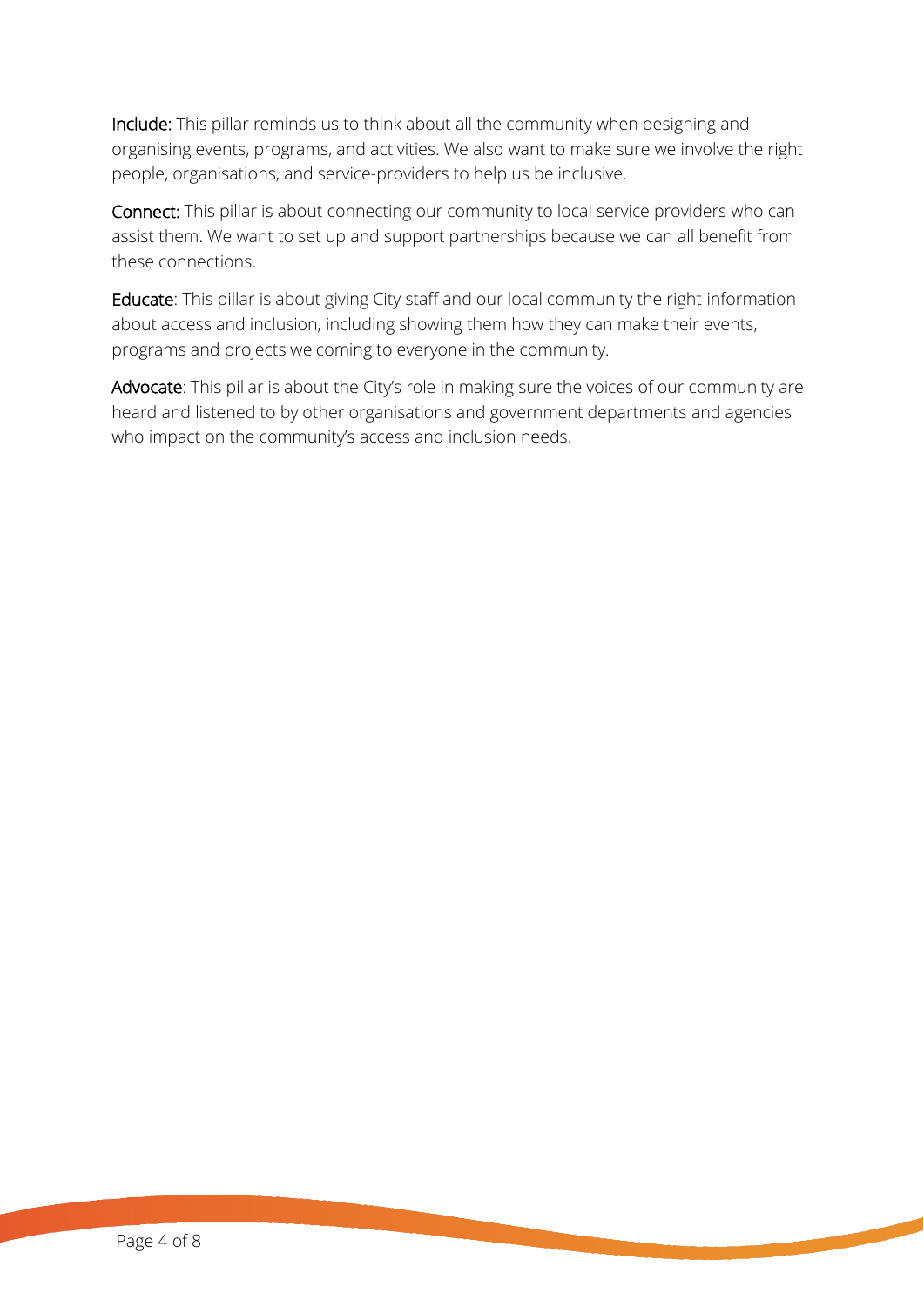Include: This pillar reminds us to think about all the community when designing and organising events, programs, and activities. We also want to make sure we involve the right people, organisations, and service-providers to help us be inclusive.

Connect: This pillar is about connecting our community to local service providers who can assist them. We want to set up and support partnerships because we can all benefit from these connections.

Educate: This pillar is about giving City staff and our local community the right information about access and inclusion, including showing them how they can make their events, programs and projects welcoming to everyone in the community.

Advocate: This pillar is about the City's role in making sure the voices of our community are heard and listened to by other organisations and government departments and agencies who impact on the community's access and inclusion needs.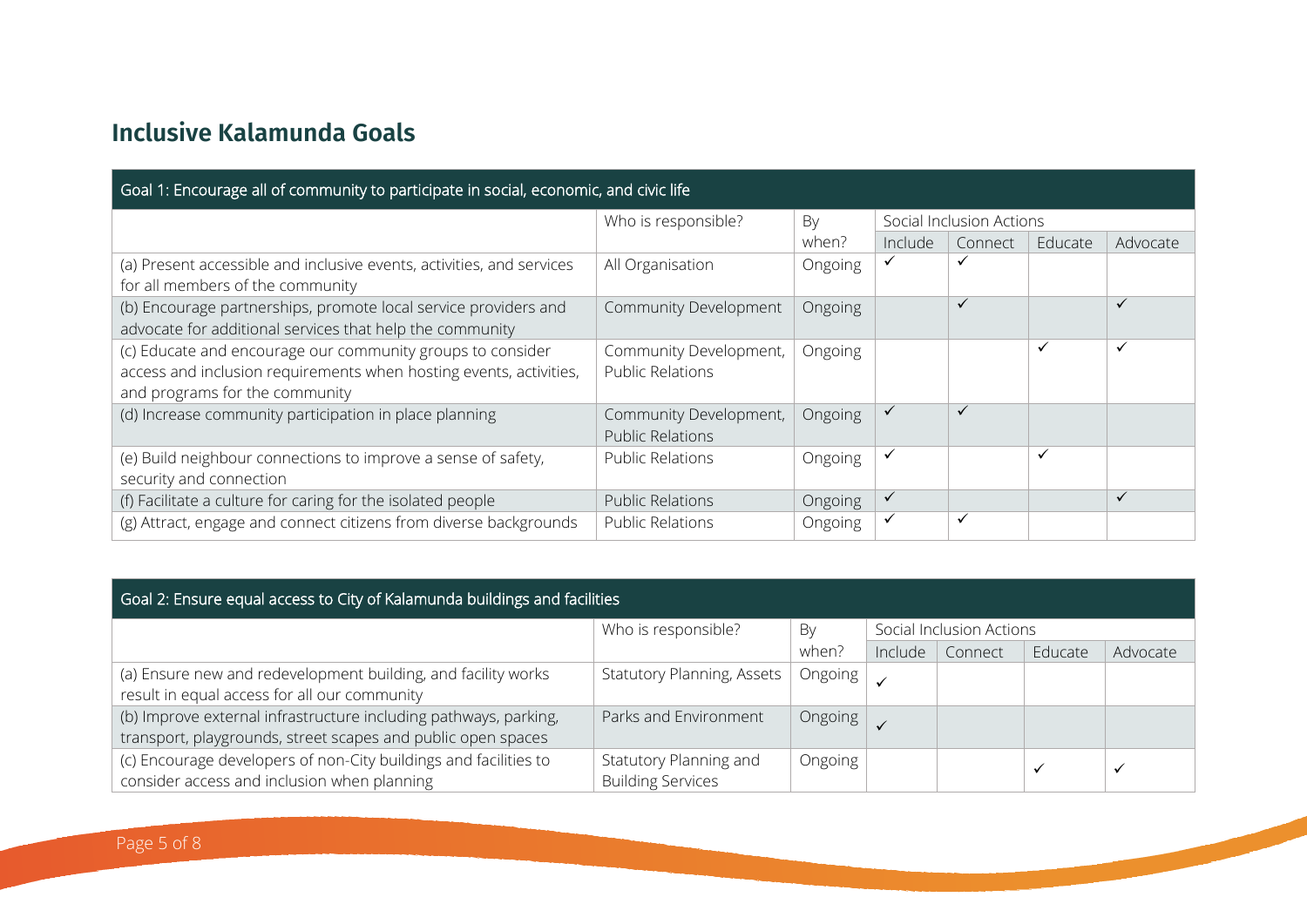## **Inclusive Kalamunda Goals**

| Goal 1: Encourage all of community to participate in social, economic, and civic life                                                                              |                                                   |         |                          |              |              |              |  |  |
|--------------------------------------------------------------------------------------------------------------------------------------------------------------------|---------------------------------------------------|---------|--------------------------|--------------|--------------|--------------|--|--|
|                                                                                                                                                                    | Who is responsible?                               | By      | Social Inclusion Actions |              |              |              |  |  |
|                                                                                                                                                                    |                                                   | when?   | Include                  | Connect      | Educate      | Advocate     |  |  |
| (a) Present accessible and inclusive events, activities, and services<br>for all members of the community                                                          | All Organisation                                  | Ongoing | ✓                        |              |              |              |  |  |
| (b) Encourage partnerships, promote local service providers and<br>advocate for additional services that help the community                                        | Community Development                             | Ongoing |                          | $\checkmark$ |              | ✓            |  |  |
| (c) Educate and encourage our community groups to consider<br>access and inclusion requirements when hosting events, activities,<br>and programs for the community | Community Development,<br><b>Public Relations</b> | Ongoing |                          |              | $\checkmark$ | $\checkmark$ |  |  |
| (d) Increase community participation in place planning                                                                                                             | Community Development,<br><b>Public Relations</b> | Ongoing | $\checkmark$             | $\checkmark$ |              |              |  |  |
| (e) Build neighbour connections to improve a sense of safety,<br>security and connection                                                                           | <b>Public Relations</b>                           | Ongoing | ✓                        |              | ✓            |              |  |  |
| (f) Facilitate a culture for caring for the isolated people                                                                                                        | <b>Public Relations</b>                           | Ongoing | $\checkmark$             |              |              | ✓            |  |  |
| (g) Attract, engage and connect citizens from diverse backgrounds                                                                                                  | <b>Public Relations</b>                           | Ongoing | ✓                        | $\checkmark$ |              |              |  |  |

| Goal 2: Ensure equal access to City of Kalamunda buildings and facilities                                                        |                                                    |         |                          |         |              |              |  |  |  |
|----------------------------------------------------------------------------------------------------------------------------------|----------------------------------------------------|---------|--------------------------|---------|--------------|--------------|--|--|--|
|                                                                                                                                  | Who is responsible?                                | By      | Social Inclusion Actions |         |              |              |  |  |  |
|                                                                                                                                  |                                                    | when?   | Include                  | Connect | Educate      | Advocate     |  |  |  |
| (a) Ensure new and redevelopment building, and facility works<br>result in equal access for all our community                    | Statutory Planning, Assets                         | Ongoing |                          |         |              |              |  |  |  |
| (b) Improve external infrastructure including pathways, parking,<br>transport, playgrounds, street scapes and public open spaces | Parks and Environment                              | Ongoing |                          |         |              |              |  |  |  |
| (c) Encourage developers of non-City buildings and facilities to<br>consider access and inclusion when planning                  | Statutory Planning and<br><b>Building Services</b> | Ongoing |                          |         | $\checkmark$ | $\checkmark$ |  |  |  |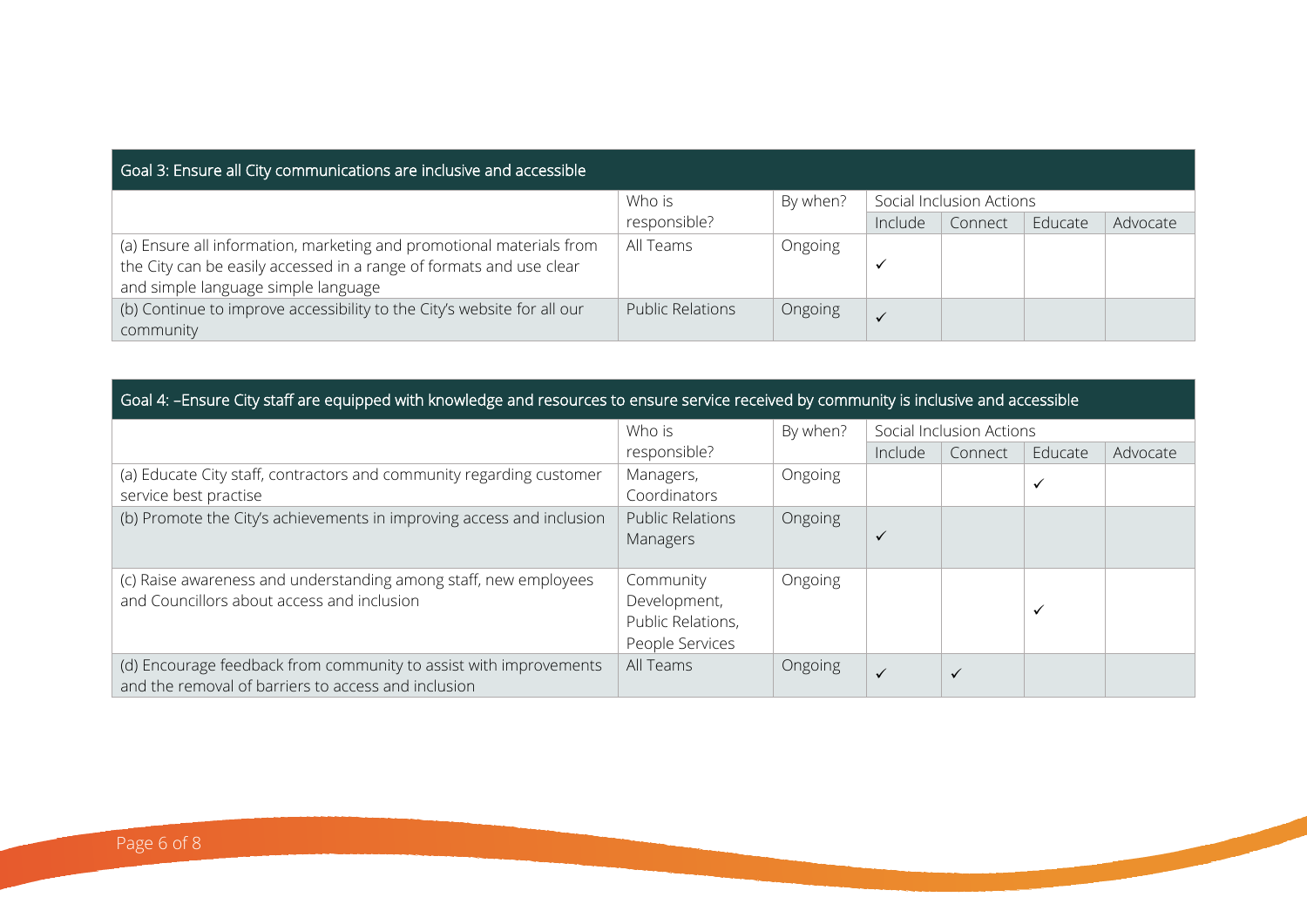## Goal 3: Ensure all City communications are inclusive and accessible

|                                                                         | Who is                  | By when? | Social Inclusion Actions |         |         |          |
|-------------------------------------------------------------------------|-------------------------|----------|--------------------------|---------|---------|----------|
|                                                                         | responsible?            |          | Include                  | Connect | Educate | Advocate |
| (a) Ensure all information, marketing and promotional materials from    | All Teams               | Ongoing  |                          |         |         |          |
| the City can be easily accessed in a range of formats and use clear     |                         |          |                          |         |         |          |
| and simple language simple language                                     |                         |          |                          |         |         |          |
| (b) Continue to improve accessibility to the City's website for all our | <b>Public Relations</b> | Ongoing  |                          |         |         |          |
| community                                                               |                         |          |                          |         |         |          |

#### Goal 4: –Ensure City staff are equipped with knowledge and resources to ensure service received by community is inclusive and accessible

|                                                                                                                          | Who is                                                            | By when? | Social Inclusion Actions |              |              |          |
|--------------------------------------------------------------------------------------------------------------------------|-------------------------------------------------------------------|----------|--------------------------|--------------|--------------|----------|
|                                                                                                                          | responsible?                                                      |          | Include                  | Connect      | Educate      | Advocate |
| (a) Educate City staff, contractors and community regarding customer<br>service best practise                            | Managers,<br>Coordinators                                         | Ongoing  |                          |              | $\checkmark$ |          |
| (b) Promote the City's achievements in improving access and inclusion                                                    | <b>Public Relations</b><br>Managers                               | Ongoing  |                          |              |              |          |
| (c) Raise awareness and understanding among staff, new employees<br>and Councillors about access and inclusion           | Community<br>Development,<br>Public Relations,<br>People Services | Ongoing  |                          |              | $\checkmark$ |          |
| (d) Encourage feedback from community to assist with improvements<br>and the removal of barriers to access and inclusion | All Teams                                                         | Ongoing  | $\checkmark$             | $\checkmark$ |              |          |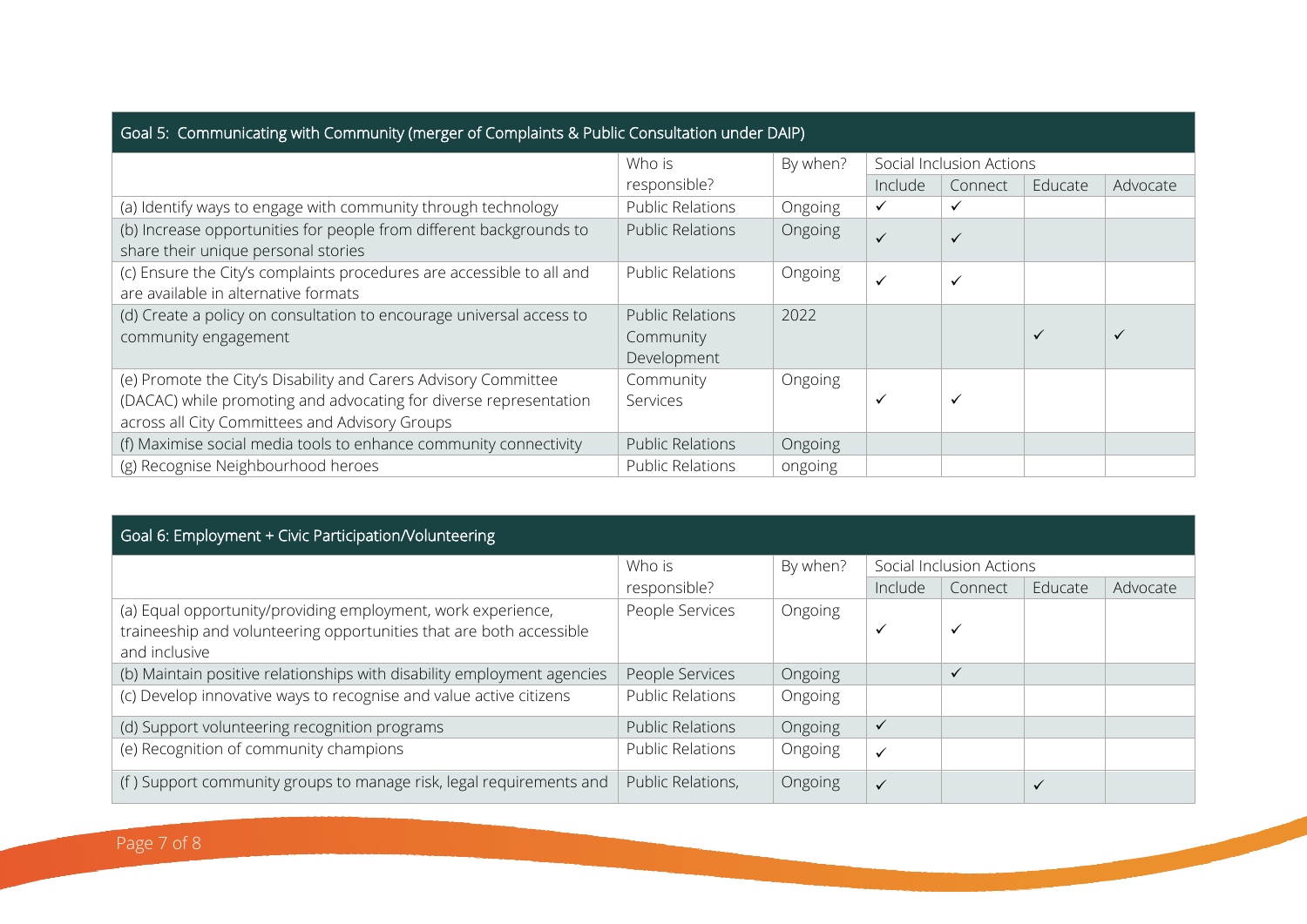| Goal 5: Communicating with Community (merger of Complaints & Public Consultation under DAIP)                                                                                           |                                                     |          |                          |              |              |              |  |  |  |
|----------------------------------------------------------------------------------------------------------------------------------------------------------------------------------------|-----------------------------------------------------|----------|--------------------------|--------------|--------------|--------------|--|--|--|
|                                                                                                                                                                                        | Who is                                              | By when? | Social Inclusion Actions |              |              |              |  |  |  |
|                                                                                                                                                                                        | responsible?                                        |          | Include                  | Connect      | Educate      | Advocate     |  |  |  |
| (a) Identify ways to engage with community through technology                                                                                                                          | <b>Public Relations</b>                             | Ongoing  | ✓                        | ✓            |              |              |  |  |  |
| (b) Increase opportunities for people from different backgrounds to<br>share their unique personal stories                                                                             | <b>Public Relations</b>                             | Ongoing  | $\checkmark$             | $\checkmark$ |              |              |  |  |  |
| (c) Ensure the City's complaints procedures are accessible to all and<br>are available in alternative formats                                                                          | <b>Public Relations</b>                             | Ongoing  | $\checkmark$             | ✓            |              |              |  |  |  |
| (d) Create a policy on consultation to encourage universal access to<br>community engagement                                                                                           | <b>Public Relations</b><br>Community<br>Development | 2022     |                          |              | $\checkmark$ | $\checkmark$ |  |  |  |
| (e) Promote the City's Disability and Carers Advisory Committee<br>(DACAC) while promoting and advocating for diverse representation<br>across all City Committees and Advisory Groups | Community<br>Services                               | Ongoing  | ✓                        | ✓            |              |              |  |  |  |
| (f) Maximise social media tools to enhance community connectivity                                                                                                                      | <b>Public Relations</b>                             | Ongoing  |                          |              |              |              |  |  |  |
| (g) Recognise Neighbourhood heroes                                                                                                                                                     | <b>Public Relations</b>                             | ongoing  |                          |              |              |              |  |  |  |

| Goal 6: Employment + Civic Participation/Volunteering                                                                                                |                         |          |                          |              |              |          |  |  |
|------------------------------------------------------------------------------------------------------------------------------------------------------|-------------------------|----------|--------------------------|--------------|--------------|----------|--|--|
|                                                                                                                                                      | Who is                  | By when? | Social Inclusion Actions |              |              |          |  |  |
|                                                                                                                                                      | responsible?            |          | Include                  | Connect      | Educate      | Advocate |  |  |
| (a) Equal opportunity/providing employment, work experience,<br>traineeship and volunteering opportunities that are both accessible<br>and inclusive | People Services         | Ongoing  | $\checkmark$             | ✓            |              |          |  |  |
| (b) Maintain positive relationships with disability employment agencies                                                                              | People Services         | Ongoing  |                          | $\checkmark$ |              |          |  |  |
| (c) Develop innovative ways to recognise and value active citizens                                                                                   | <b>Public Relations</b> | Ongoing  |                          |              |              |          |  |  |
| (d) Support volunteering recognition programs                                                                                                        | <b>Public Relations</b> | Ongoing  | $\checkmark$             |              |              |          |  |  |
| (e) Recognition of community champions                                                                                                               | <b>Public Relations</b> | Ongoing  | $\checkmark$             |              |              |          |  |  |
| (f) Support community groups to manage risk, legal requirements and                                                                                  | Public Relations,       | Ongoing  | $\checkmark$             |              | $\checkmark$ |          |  |  |

**CONTRACTOR**